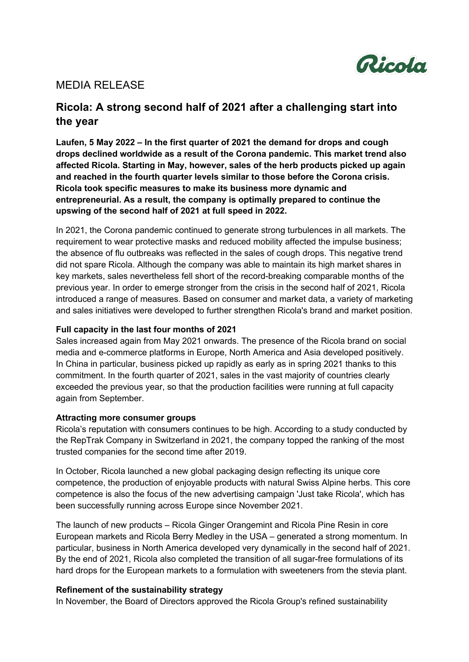

### MEDIA RELEASE

# **Ricola: A strong second half of 2021 after a challenging start into the year**

**Laufen, 5 May 2022 – In the first quarter of 2021 the demand for drops and cough drops declined worldwide as a result of the Corona pandemic. This market trend also affected Ricola. Starting in May, however, sales of the herb products picked up again and reached in the fourth quarter levels similar to those before the Corona crisis. Ricola took specific measures to make its business more dynamic and entrepreneurial. As a result, the company is optimally prepared to continue the upswing of the second half of 2021 at full speed in 2022.** 

In 2021, the Corona pandemic continued to generate strong turbulences in all markets. The requirement to wear protective masks and reduced mobility affected the impulse business; the absence of flu outbreaks was reflected in the sales of cough drops. This negative trend did not spare Ricola. Although the company was able to maintain its high market shares in key markets, sales nevertheless fell short of the record-breaking comparable months of the previous year. In order to emerge stronger from the crisis in the second half of 2021, Ricola introduced a range of measures. Based on consumer and market data, a variety of marketing and sales initiatives were developed to further strengthen Ricola's brand and market position.

#### **Full capacity in the last four months of 2021**

Sales increased again from May 2021 onwards. The presence of the Ricola brand on social media and e-commerce platforms in Europe, North America and Asia developed positively. In China in particular, business picked up rapidly as early as in spring 2021 thanks to this commitment. In the fourth quarter of 2021, sales in the vast majority of countries clearly exceeded the previous year, so that the production facilities were running at full capacity again from September.

#### **Attracting more consumer groups**

Ricola's reputation with consumers continues to be high. According to a study conducted by the RepTrak Company in Switzerland in 2021, the company topped the ranking of the most trusted companies for the second time after 2019.

In October, Ricola launched a new global packaging design reflecting its unique core competence, the production of enjoyable products with natural Swiss Alpine herbs. This core competence is also the focus of the new advertising campaign 'Just take Ricola', which has been successfully running across Europe since November 2021.

The launch of new products – Ricola Ginger Orangemint and Ricola Pine Resin in core European markets and Ricola Berry Medley in the USA – generated a strong momentum. In particular, business in North America developed very dynamically in the second half of 2021. By the end of 2021, Ricola also completed the transition of all sugar-free formulations of its hard drops for the European markets to a formulation with sweeteners from the stevia plant.

#### **Refinement of the sustainability strategy**

In November, the Board of Directors approved the Ricola Group's refined sustainability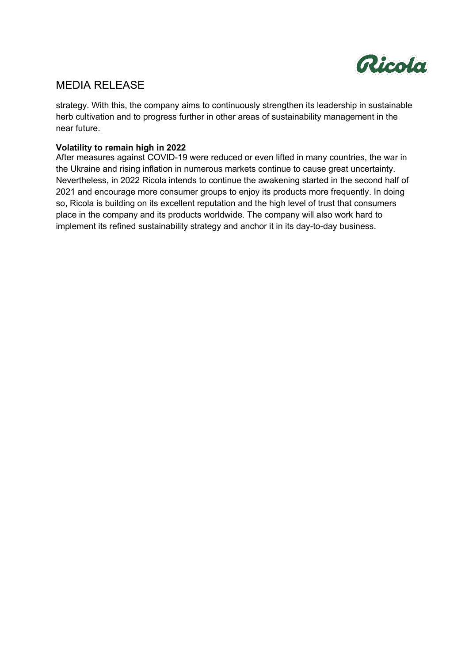

## MEDIA RELEASE

strategy. With this, the company aims to continuously strengthen its leadership in sustainable herb cultivation and to progress further in other areas of sustainability management in the near future.

### **Volatility to remain high in 2022**

After measures against COVID-19 were reduced or even lifted in many countries, the war in the Ukraine and rising inflation in numerous markets continue to cause great uncertainty. Nevertheless, in 2022 Ricola intends to continue the awakening started in the second half of 2021 and encourage more consumer groups to enjoy its products more frequently. In doing so, Ricola is building on its excellent reputation and the high level of trust that consumers place in the company and its products worldwide. The company will also work hard to implement its refined sustainability strategy and anchor it in its day-to-day business.